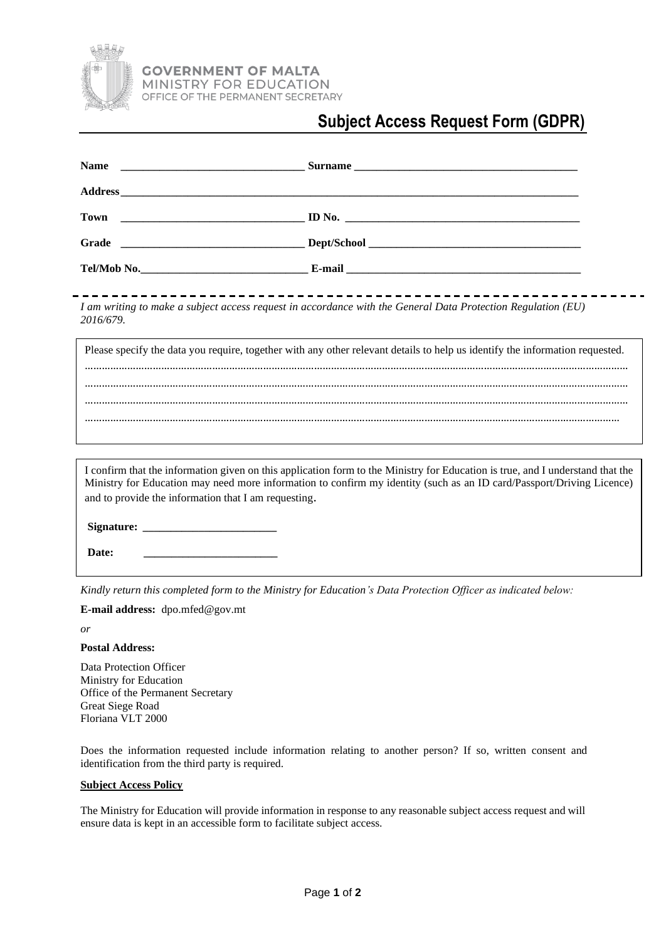

## **Subject Access Request Form (GDPR)**

| <b>Name</b>                                                                                                                                                                                                                                                                                                     |  |
|-----------------------------------------------------------------------------------------------------------------------------------------------------------------------------------------------------------------------------------------------------------------------------------------------------------------|--|
|                                                                                                                                                                                                                                                                                                                 |  |
|                                                                                                                                                                                                                                                                                                                 |  |
|                                                                                                                                                                                                                                                                                                                 |  |
|                                                                                                                                                                                                                                                                                                                 |  |
| _______________________<br>I am writing to make a subject access request in accordance with the General Data Protection Regulation (EU)<br>2016/679.                                                                                                                                                            |  |
| Please specify the data you require, together with any other relevant details to help us identify the information requested.                                                                                                                                                                                    |  |
|                                                                                                                                                                                                                                                                                                                 |  |
|                                                                                                                                                                                                                                                                                                                 |  |
| I confirm that the information given on this application form to the Ministry for Education is true, and I understand that the<br>Ministry for Education may need more information to confirm my identity (such as an ID card/Passport/Driving Licence)<br>and to provide the information that I am requesting. |  |
| Date:                                                                                                                                                                                                                                                                                                           |  |
|                                                                                                                                                                                                                                                                                                                 |  |

*Kindly return this completed form to the Ministry for Education's Data Protection Officer as indicated below:* 

**E-mail address:** dpo.mfed@gov.mt

*or*

## **Postal Address:**

Data Protection Officer Ministry for Education Office of the Permanent Secretary Great Siege Road Floriana VLT 2000

Does the information requested include information relating to another person? If so, written consent and identification from the third party is required.

## **Subject Access Policy**

The Ministry for Education will provide information in response to any reasonable subject access request and will ensure data is kept in an accessible form to facilitate subject access.